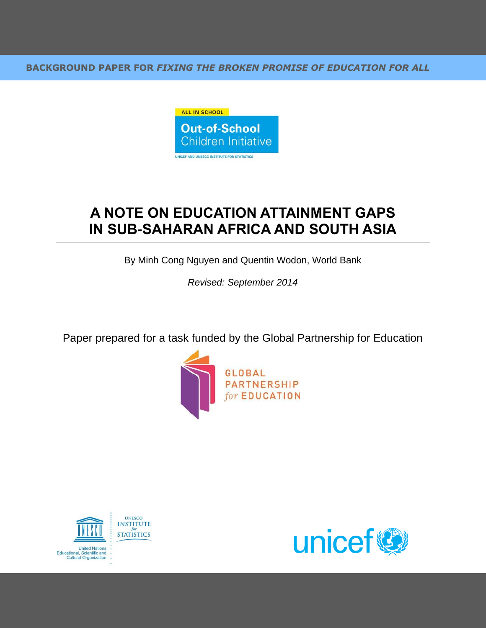**BACKGROUND PAPER FOR** *FIXING THE BROKEN PROMISE OF EDUCATION FOR ALL*



# **A NOTE ON EDUCATION ATTAINMENT GAPS IN SUB-SAHARAN AFRICA AND SOUTH ASIA**

By Minh Cong Nguyen and Quentin Wodon, World Bank

*Revised: September 2014*

Paper prepared for a task funded by the Global Partnership for Education





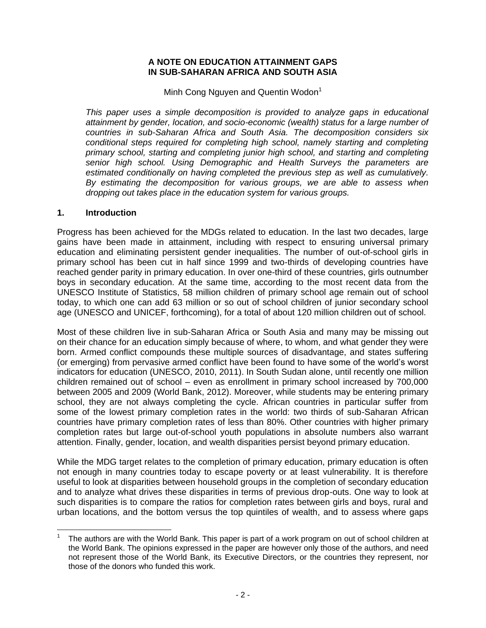## **A NOTE ON EDUCATION ATTAINMENT GAPS IN SUB-SAHARAN AFRICA AND SOUTH ASIA**

Minh Cong Nguyen and Quentin Wodon<sup>1</sup>

*This paper uses a simple decomposition is provided to analyze gaps in educational attainment by gender, location, and socio-economic (wealth) status for a large number of countries in sub-Saharan Africa and South Asia. The decomposition considers six conditional steps required for completing high school, namely starting and completing primary school, starting and completing junior high school, and starting and completing senior high school. Using Demographic and Health Surveys the parameters are estimated conditionally on having completed the previous step as well as cumulatively. By estimating the decomposition for various groups, we are able to assess when dropping out takes place in the education system for various groups.* 

#### **1. Introduction**

Progress has been achieved for the MDGs related to education. In the last two decades, large gains have been made in attainment, including with respect to ensuring universal primary education and eliminating persistent gender inequalities. The number of out-of-school girls in primary school has been cut in half since 1999 and two-thirds of developing countries have reached gender parity in primary education. In over one-third of these countries, girls outnumber boys in secondary education. At the same time, according to the most recent data from the UNESCO Institute of Statistics, 58 million children of primary school age remain out of school today, to which one can add 63 million or so out of school children of junior secondary school age (UNESCO and UNICEF, forthcoming), for a total of about 120 million children out of school.

Most of these children live in sub-Saharan Africa or South Asia and many may be missing out on their chance for an education simply because of where, to whom, and what gender they were born. Armed conflict compounds these multiple sources of disadvantage, and states suffering (or emerging) from pervasive armed conflict have been found to have some of the world's worst indicators for education (UNESCO, 2010, 2011). In South Sudan alone, until recently one million children remained out of school – even as enrollment in primary school increased by 700,000 between 2005 and 2009 (World Bank, 2012). Moreover, while students may be entering primary school, they are not always completing the cycle. African countries in particular suffer from some of the lowest primary completion rates in the world: two thirds of sub-Saharan African countries have primary completion rates of less than 80%. Other countries with higher primary completion rates but large out-of-school youth populations in absolute numbers also warrant attention. Finally, gender, location, and wealth disparities persist beyond primary education.

While the MDG target relates to the completion of primary education, primary education is often not enough in many countries today to escape poverty or at least vulnerability. It is therefore useful to look at disparities between household groups in the completion of secondary education and to analyze what drives these disparities in terms of previous drop-outs. One way to look at such disparities is to compare the ratios for completion rates between girls and boys, rural and urban locations, and the bottom versus the top quintiles of wealth, and to assess where gaps

 $\overline{a}$ 1 The authors are with the World Bank. This paper is part of a work program on out of school children at the World Bank. The opinions expressed in the paper are however only those of the authors, and need not represent those of the World Bank, its Executive Directors, or the countries they represent, nor those of the donors who funded this work.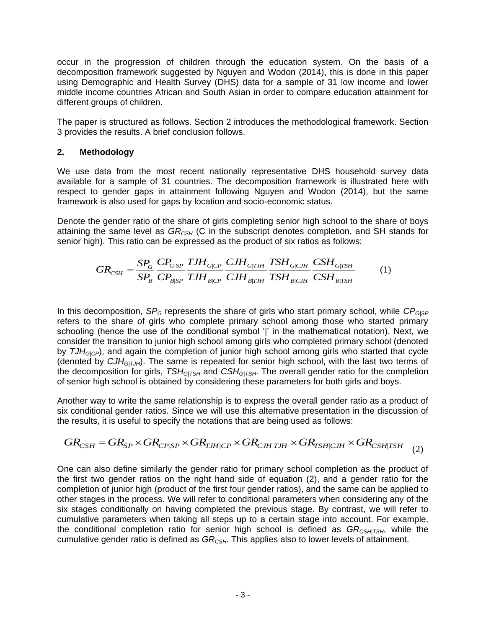occur in the progression of children through the education system. On the basis of a decomposition framework suggested by Nguyen and Wodon (2014), this is done in this paper using Demographic and Health Survey (DHS) data for a sample of 31 low income and lower middle income countries African and South Asian in order to compare education attainment for different groups of children.

The paper is structured as follows. Section 2 introduces the methodological framework. Section 3 provides the results. A brief conclusion follows.

# **2. Methodology**

We use data from the most recent nationally representative DHS household survey data available for a sample of 31 countries. The decomposition framework is illustrated here with respect to gender gaps in attainment following Nguyen and Wodon (2014), but the same framework is also used for gaps by location and socio-economic status.

Denote the gender ratio of the share of girls completing senior high school to the share of boys attaining the same level as *GRCSH* (C in the subscript denotes completion, and SH stands for senior high). This ratio can be expressed as the product of six ratios as follows: Evel as  $GR_{\text{CSH}}$  (C in the subscript denotes completion can be expressed as the product of six ratios as the subscript denotes as the product of six ratios as the product of six ratios as the product of six ratios as th

$$
GR_{CSH} = \frac{SP_G}{SP_B} \frac{CP_{G|SP}}{CP_{B|SP}} \frac{TJH_{G|CP}}{TJH_{B|CP}} \frac{CJH_{G|TH}}{CJH_{B|TH}} \frac{TSH_{G|CH}}{TSH_{B|CH}} \frac{CSH_{G|TSH}}{CSH_{B|TSH}} \tag{1}
$$

In this decomposition, *SP<sub>G</sub>* represents the share of girls who start primary school, while *CP<sub>G|SP</sub>* refers to the share of girls who complete primary school among those who started primary schooling (hence the use of the conditional symbol '|' in the mathematical notation). Next, we consider the transition to junior high school among girls who completed primary school (denoted by *TJHG|CP*), and again the completion of junior high school among girls who started that cycle (denoted by *CJHG|TJH*). The same is repeated for senior high school, with the last two terms of the decomposition for girls, *TSHG|TSH* and *CSHG|TSH*. The overall gender ratio for the completion of senior high school is obtained by considering these parameters for both girls and boys.

Another way to write the same relationship is to express the overall gender ratio as a product of six conditional gender ratios. Since we will use this alternative presentation in the discussion of

the results, it is useful to specify the notations that are being used as follows:\n
$$
GR_{CSH} = GR_{SP} \times GR_{CP|SP} \times GR_{TJH|CP} \times GR_{CJH|TJH} \times GR_{TSH|CJH} \times GR_{CSH|TSH} \quad (2)
$$

One can also define similarly the gender ratio for primary school completion as the product of the first two gender ratios on the right hand side of equation (2), and a gender ratio for the completion of junior high (product of the first four gender ratios), and the same can be applied to other stages in the process. We will refer to conditional parameters when considering any of the six stages conditionally on having completed the previous stage. By contrast, we will refer to cumulative parameters when taking all steps up to a certain stage into account. For example, the conditional completion ratio for senior high school is defined as *GRCSH|TSH*, while the cumulative gender ratio is defined as *GRCSH*. This applies also to lower levels of attainment.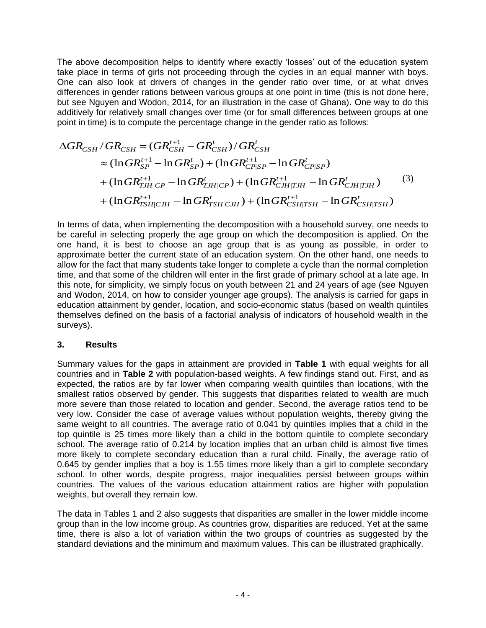The above decomposition helps to identify where exactly 'losses' out of the education system take place in terms of girls not proceeding through the cycles in an equal manner with boys. One can also look at drivers of changes in the gender ratio over time, or at what drives differences in gender rations between various groups at one point in time (this is not done here, but see Nguyen and Wodon, 2014, for an illustration in the case of Ghana). One way to do this additively for relatively small changes over time (or for small differences between groups at one point in time) is to compute the percentage change in the gender ratio as follows:

$$
\Delta GR_{CSH} / GR_{CSH} = (GR_{CSH}^{t+1} - GR_{CSH}^t) / GR_{CSH}^t
$$
  
\n
$$
\approx (\ln GR_{SP}^{t+1} - \ln GR_{SP}^t) + (\ln GR_{CP|SP}^{t+1} - \ln GR_{CP|SP}^t)
$$
  
\n
$$
+ (\ln GR_{TJH|CP}^{t+1} - \ln GR_{TJH|CP}^t) + (\ln GR_{CJH|TJH}^{t+1} - \ln GR_{CJH|TJH}^t)
$$
  
\n
$$
+ (\ln GR_{TSH|CJH}^{t+1} - \ln GR_{TSH|CJH}^t) + (\ln GR_{CSH|TSH}^{t+1} - \ln GR_{CSH|TSH}^t)
$$
  
\n(3)

In terms of data, when implementing the decomposition with a household survey, one needs to be careful in selecting properly the age group on which the decomposition is applied. On the one hand, it is best to choose an age group that is as young as possible, in order to approximate better the current state of an education system. On the other hand, one needs to allow for the fact that many students take longer to complete a cycle than the normal completion time, and that some of the children will enter in the first grade of primary school at a late age. In this note, for simplicity, we simply focus on youth between 21 and 24 years of age (see Nguyen and Wodon, 2014, on how to consider younger age groups). The analysis is carried for gaps in education attainment by gender, location, and socio-economic status (based on wealth quintiles themselves defined on the basis of a factorial analysis of indicators of household wealth in the surveys).

## **3. Results**

Summary values for the gaps in attainment are provided in **Table 1** with equal weights for all countries and in **Table 2** with population-based weights. A few findings stand out. First, and as expected, the ratios are by far lower when comparing wealth quintiles than locations, with the smallest ratios observed by gender. This suggests that disparities related to wealth are much more severe than those related to location and gender. Second, the average ratios tend to be very low. Consider the case of average values without population weights, thereby giving the same weight to all countries. The average ratio of 0.041 by quintiles implies that a child in the top quintile is 25 times more likely than a child in the bottom quintile to complete secondary school. The average ratio of 0.214 by location implies that an urban child is almost five times more likely to complete secondary education than a rural child. Finally, the average ratio of 0.645 by gender implies that a boy is 1.55 times more likely than a girl to complete secondary school. In other words, despite progress, major inequalities persist between groups within countries. The values of the various education attainment ratios are higher with population weights, but overall they remain low.

The data in Tables 1 and 2 also suggests that disparities are smaller in the lower middle income group than in the low income group. As countries grow, disparities are reduced. Yet at the same time, there is also a lot of variation within the two groups of countries as suggested by the standard deviations and the minimum and maximum values. This can be illustrated graphically.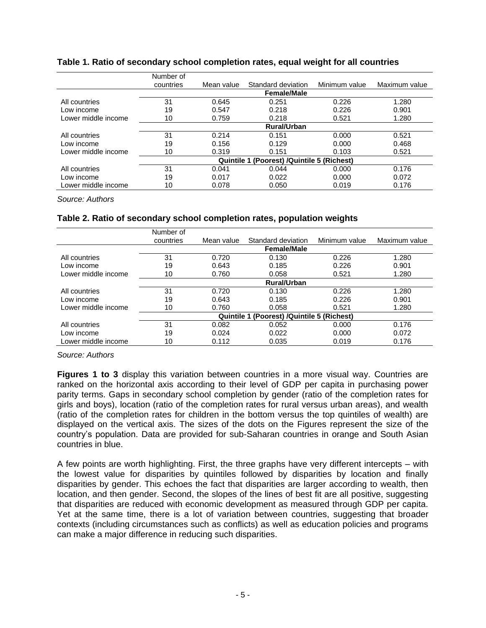|                     | Number of                                            |            |                    |               |               |  |  |
|---------------------|------------------------------------------------------|------------|--------------------|---------------|---------------|--|--|
|                     | countries                                            | Mean value | Standard deviation | Minimum value | Maximum value |  |  |
|                     | <b>Female/Male</b>                                   |            |                    |               |               |  |  |
| All countries       | 31                                                   | 0.645      | 0.251              | 0.226         | 1.280         |  |  |
| Low income          | 19                                                   | 0.547      | 0.218              | 0.226         | 0.901         |  |  |
| Lower middle income | 10                                                   | 0.759      | 0.218              | 0.521         | 1.280         |  |  |
|                     | <b>Rural/Urban</b>                                   |            |                    |               |               |  |  |
| All countries       | 31                                                   | 0.214      | 0.151              | 0.000         | 0.521         |  |  |
| Low income          | 19                                                   | 0.156      | 0.129              | 0.000         | 0.468         |  |  |
| Lower middle income | 10                                                   | 0.319      | 0.151              | 0.103         | 0.521         |  |  |
|                     | (Poorest) /Quintile 5 (Richest)<br><b>Quintile 1</b> |            |                    |               |               |  |  |
| All countries       | 31                                                   | 0.041      | 0.044              | 0.000         | 0.176         |  |  |
| Low income          | 19                                                   | 0.017      | 0.022              | 0.000         | 0.072         |  |  |
| Lower middle income | 10                                                   | 0.078      | 0.050              | 0.019         | 0.176         |  |  |

#### **Table 1. Ratio of secondary school completion rates, equal weight for all countries**

*Source: Authors*

## **Table 2. Ratio of secondary school completion rates, population weights**

|                     | Number of          |                                                   |                    |               |               |  |  |  |
|---------------------|--------------------|---------------------------------------------------|--------------------|---------------|---------------|--|--|--|
|                     | countries          | Mean value                                        | Standard deviation | Minimum value | Maximum value |  |  |  |
|                     | <b>Female/Male</b> |                                                   |                    |               |               |  |  |  |
| All countries       | 31                 | 0.720                                             | 0.130              | 0.226         | 1.280         |  |  |  |
| Low income          | 19                 | 0.643                                             | 0.185              | 0.226         | 0.901         |  |  |  |
| Lower middle income | 10                 | 0.760                                             | 0.058              | 0.521         | 1.280         |  |  |  |
|                     | <b>Rural/Urban</b> |                                                   |                    |               |               |  |  |  |
| All countries       | 31                 | 0.720                                             | 0.130              | 0.226         | 1.280         |  |  |  |
| Low income          | 19                 | 0.643                                             | 0.185              | 0.226         | 0.901         |  |  |  |
| Lower middle income | 10                 | 0.760                                             | 0.058              | 0.521         | 1.280         |  |  |  |
|                     |                    | <b>Quintile 1 (Poorest) /Quintile 5 (Richest)</b> |                    |               |               |  |  |  |
| All countries       | 31                 | 0.082                                             | 0.052              | 0.000         | 0.176         |  |  |  |
| Low income          | 19                 | 0.024                                             | 0.022              | 0.000         | 0.072         |  |  |  |
| Lower middle income | 10                 | 0.112                                             | 0.035              | 0.019         | 0.176         |  |  |  |

*Source: Authors*

**Figures 1 to 3** display this variation between countries in a more visual way. Countries are ranked on the horizontal axis according to their level of GDP per capita in purchasing power parity terms. Gaps in secondary school completion by gender (ratio of the completion rates for girls and boys), location (ratio of the completion rates for rural versus urban areas), and wealth (ratio of the completion rates for children in the bottom versus the top quintiles of wealth) are displayed on the vertical axis. The sizes of the dots on the Figures represent the size of the country's population. Data are provided for sub-Saharan countries in orange and South Asian countries in blue.

A few points are worth highlighting. First, the three graphs have very different intercepts – with the lowest value for disparities by quintiles followed by disparities by location and finally disparities by gender. This echoes the fact that disparities are larger according to wealth, then location, and then gender. Second, the slopes of the lines of best fit are all positive, suggesting that disparities are reduced with economic development as measured through GDP per capita. Yet at the same time, there is a lot of variation between countries, suggesting that broader contexts (including circumstances such as conflicts) as well as education policies and programs can make a major difference in reducing such disparities.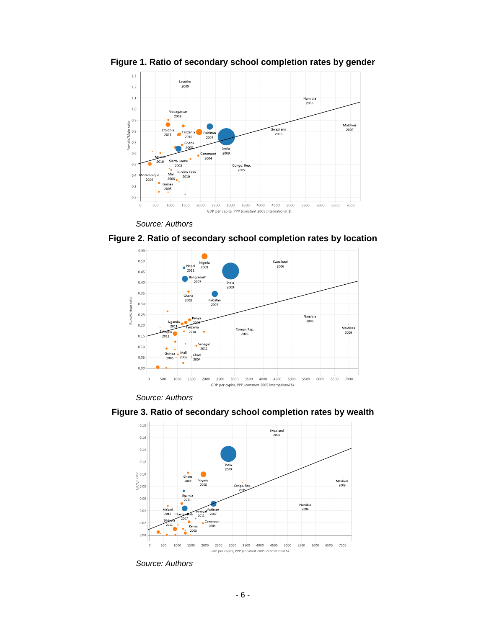

**Figure 1. Ratio of secondary school completion rates by gender**



**Figure 2. Ratio of secondary school completion rates by location**



*Source: Authors*



**Figure 3. Ratio of secondary school completion rates by wealth**

*Source: Authors*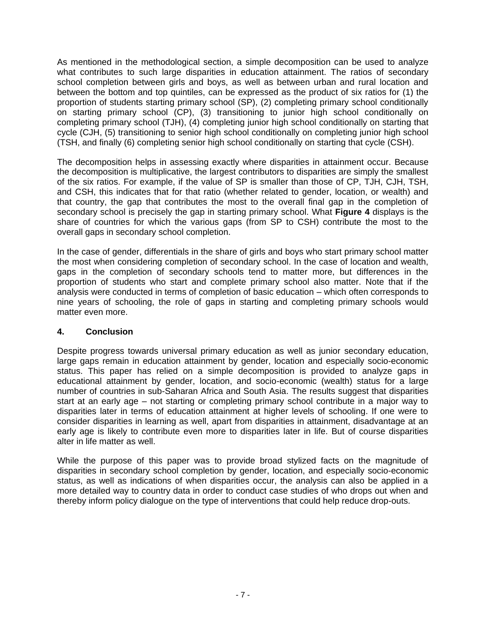As mentioned in the methodological section, a simple decomposition can be used to analyze what contributes to such large disparities in education attainment. The ratios of secondary school completion between girls and boys, as well as between urban and rural location and between the bottom and top quintiles, can be expressed as the product of six ratios for (1) the proportion of students starting primary school (SP), (2) completing primary school conditionally on starting primary school (CP), (3) transitioning to junior high school conditionally on completing primary school (TJH), (4) completing junior high school conditionally on starting that cycle (CJH, (5) transitioning to senior high school conditionally on completing junior high school (TSH, and finally (6) completing senior high school conditionally on starting that cycle (CSH).

The decomposition helps in assessing exactly where disparities in attainment occur. Because the decomposition is multiplicative, the largest contributors to disparities are simply the smallest of the six ratios. For example, if the value of SP is smaller than those of CP, TJH, CJH, TSH, and CSH, this indicates that for that ratio (whether related to gender, location, or wealth) and that country, the gap that contributes the most to the overall final gap in the completion of secondary school is precisely the gap in starting primary school. What **Figure 4** displays is the share of countries for which the various gaps (from SP to CSH) contribute the most to the overall gaps in secondary school completion.

In the case of gender, differentials in the share of girls and boys who start primary school matter the most when considering completion of secondary school. In the case of location and wealth, gaps in the completion of secondary schools tend to matter more, but differences in the proportion of students who start and complete primary school also matter. Note that if the analysis were conducted in terms of completion of basic education – which often corresponds to nine years of schooling, the role of gaps in starting and completing primary schools would matter even more.

# **4. Conclusion**

Despite progress towards universal primary education as well as junior secondary education, large gaps remain in education attainment by gender, location and especially socio-economic status. This paper has relied on a simple decomposition is provided to analyze gaps in educational attainment by gender, location, and socio-economic (wealth) status for a large number of countries in sub-Saharan Africa and South Asia. The results suggest that disparities start at an early age – not starting or completing primary school contribute in a major way to disparities later in terms of education attainment at higher levels of schooling. If one were to consider disparities in learning as well, apart from disparities in attainment, disadvantage at an early age is likely to contribute even more to disparities later in life. But of course disparities alter in life matter as well.

While the purpose of this paper was to provide broad stylized facts on the magnitude of disparities in secondary school completion by gender, location, and especially socio-economic status, as well as indications of when disparities occur, the analysis can also be applied in a more detailed way to country data in order to conduct case studies of who drops out when and thereby inform policy dialogue on the type of interventions that could help reduce drop-outs.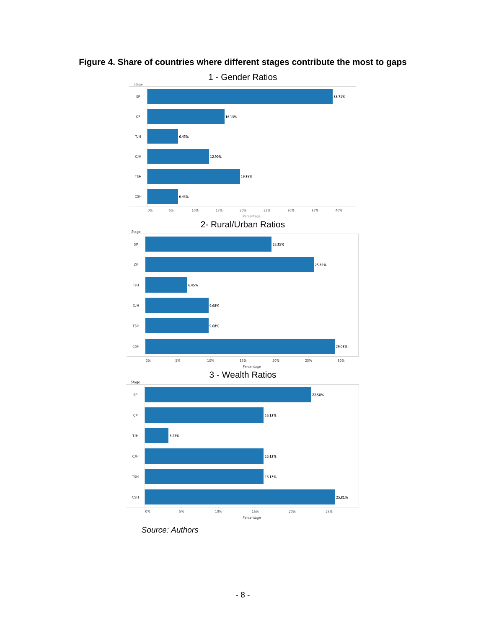

**Figure 4. Share of countries where different stages contribute the most to gaps**



3 - Wealth Ratios



*Source: Authors*